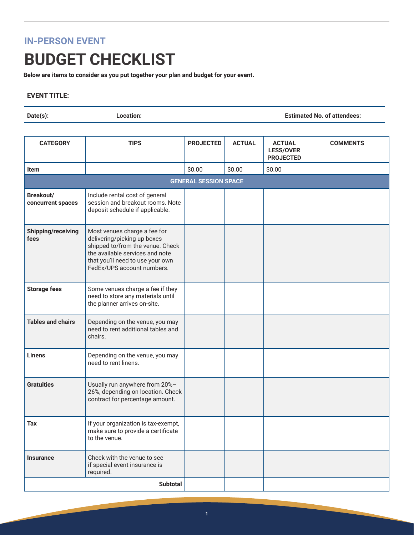## **IN-PERSON EVENT**

## **BUDGET CHECKLIST**

**Below are items to consider as you put together your plan and budget for your event.**

## **EVENT TITLE:**

**Date(s): Location: Estimated No. of attendees:**

| <b>CATEGORY</b>                | <b>TIPS</b>                                                                                                                                                                                          | <b>PROJECTED</b>             | <b>ACTUAL</b> | <b>ACTUAL</b><br><b>LESS/OVER</b><br><b>PROJECTED</b> | <b>COMMENTS</b> |
|--------------------------------|------------------------------------------------------------------------------------------------------------------------------------------------------------------------------------------------------|------------------------------|---------------|-------------------------------------------------------|-----------------|
| <b>Item</b>                    |                                                                                                                                                                                                      | \$0.00                       | \$0.00        | \$0.00                                                |                 |
|                                |                                                                                                                                                                                                      | <b>GENERAL SESSION SPACE</b> |               |                                                       |                 |
| Breakout/<br>concurrent spaces | Include rental cost of general<br>session and breakout rooms. Note<br>deposit schedule if applicable.                                                                                                |                              |               |                                                       |                 |
| Shipping/receiving<br>fees     | Most venues charge a fee for<br>delivering/picking up boxes<br>shipped to/from the venue. Check<br>the available services and note<br>that you'll need to use your own<br>FedEx/UPS account numbers. |                              |               |                                                       |                 |
| <b>Storage fees</b>            | Some venues charge a fee if they<br>need to store any materials until<br>the planner arrives on-site.                                                                                                |                              |               |                                                       |                 |
| <b>Tables and chairs</b>       | Depending on the venue, you may<br>need to rent additional tables and<br>chairs.                                                                                                                     |                              |               |                                                       |                 |
| <b>Linens</b>                  | Depending on the venue, you may<br>need to rent linens.                                                                                                                                              |                              |               |                                                       |                 |
| <b>Gratuities</b>              | Usually run anywhere from 20%-<br>26%, depending on location. Check<br>contract for percentage amount.                                                                                               |                              |               |                                                       |                 |
| <b>Tax</b>                     | If your organization is tax-exempt,<br>make sure to provide a certificate<br>to the venue.                                                                                                           |                              |               |                                                       |                 |
| <b>Insurance</b>               | Check with the venue to see<br>if special event insurance is<br>required.                                                                                                                            |                              |               |                                                       |                 |
|                                | <b>Subtotal</b>                                                                                                                                                                                      |                              |               |                                                       |                 |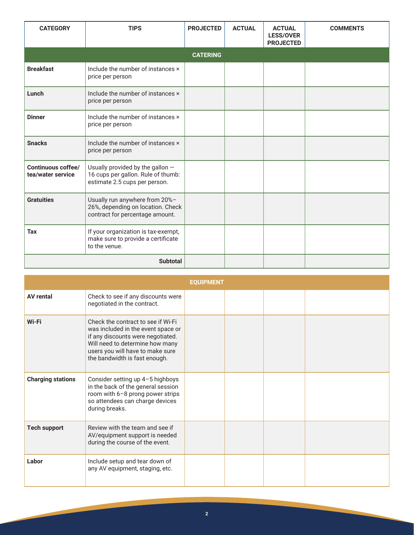| <b>CATEGORY</b>                         | <b>TIPS</b>                                                                                             | <b>PROJECTED</b> | <b>ACTUAL</b> | <b>ACTUAL</b><br><b>LESS/OVER</b><br><b>PROJECTED</b> | <b>COMMENTS</b> |
|-----------------------------------------|---------------------------------------------------------------------------------------------------------|------------------|---------------|-------------------------------------------------------|-----------------|
|                                         |                                                                                                         | <b>CATERING</b>  |               |                                                       |                 |
| <b>Breakfast</b>                        | Include the number of instances ×<br>price per person                                                   |                  |               |                                                       |                 |
| Lunch                                   | Include the number of instances x<br>price per person                                                   |                  |               |                                                       |                 |
| <b>Dinner</b>                           | Include the number of instances x<br>price per person                                                   |                  |               |                                                       |                 |
| <b>Snacks</b>                           | Include the number of instances x<br>price per person                                                   |                  |               |                                                       |                 |
| Continuous coffee/<br>tea/water service | Usually provided by the gallon -<br>16 cups per gallon. Rule of thumb:<br>estimate 2.5 cups per person. |                  |               |                                                       |                 |
| <b>Gratuities</b>                       | Usually run anywhere from 20%-<br>26%, depending on location. Check<br>contract for percentage amount.  |                  |               |                                                       |                 |
| <b>Tax</b>                              | If your organization is tax-exempt,<br>make sure to provide a certificate<br>to the venue.              |                  |               |                                                       |                 |
|                                         |                                                                                                         |                  |               |                                                       |                 |

|                          |                                                                                                                                                                                                                       | <b>EOUIPMENT</b> |  |  |
|--------------------------|-----------------------------------------------------------------------------------------------------------------------------------------------------------------------------------------------------------------------|------------------|--|--|
| <b>AV rental</b>         | Check to see if any discounts were<br>negotiated in the contract.                                                                                                                                                     |                  |  |  |
| Wi-Fi                    | Check the contract to see if Wi-Fi<br>was included in the event space or<br>if any discounts were negotiated.<br>Will need to determine how many<br>users you will have to make sure<br>the bandwidth is fast enough. |                  |  |  |
| <b>Charging stations</b> | Consider setting up 4-5 highboys<br>in the back of the general session<br>room with 6-8 prong power strips<br>so attendees can charge devices<br>during breaks.                                                       |                  |  |  |
| <b>Tech support</b>      | Review with the team and see if<br>AV/equipment support is needed<br>during the course of the event.                                                                                                                  |                  |  |  |
| Labor                    | Include setup and tear down of<br>any AV equipment, staging, etc.                                                                                                                                                     |                  |  |  |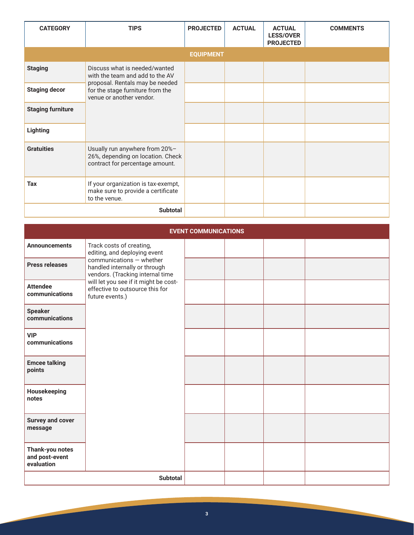| <b>CATEGORY</b>          | <b>TIPS</b>                                                                                            | <b>PROJECTED</b> | <b>ACTUAL</b> | <b>ACTUAL</b><br><b>LESS/OVER</b><br><b>PROJECTED</b> | <b>COMMENTS</b> |
|--------------------------|--------------------------------------------------------------------------------------------------------|------------------|---------------|-------------------------------------------------------|-----------------|
|                          |                                                                                                        | <b>EQUIPMENT</b> |               |                                                       |                 |
| <b>Staging</b>           | Discuss what is needed/wanted<br>with the team and add to the AV                                       |                  |               |                                                       |                 |
| <b>Staging decor</b>     | proposal. Rentals may be needed<br>for the stage furniture from the<br>venue or another vendor.        |                  |               |                                                       |                 |
| <b>Staging furniture</b> |                                                                                                        |                  |               |                                                       |                 |
| Lighting                 |                                                                                                        |                  |               |                                                       |                 |
| <b>Gratuities</b>        | Usually run anywhere from 20%-<br>26%, depending on location. Check<br>contract for percentage amount. |                  |               |                                                       |                 |
| <b>Tax</b>               | If your organization is tax-exempt,<br>make sure to provide a certificate<br>to the venue.             |                  |               |                                                       |                 |
|                          | <b>Subtotal</b>                                                                                        |                  |               |                                                       |                 |

|                                                 |                                                                                                                                                                                              | <b>EVENT COMMUNICATIONS</b> |  |  |
|-------------------------------------------------|----------------------------------------------------------------------------------------------------------------------------------------------------------------------------------------------|-----------------------------|--|--|
| <b>Announcements</b>                            | Track costs of creating,<br>editing, and deploying event                                                                                                                                     |                             |  |  |
| <b>Press releases</b>                           | communications - whether<br>handled internally or through<br>vendors. (Tracking internal time<br>will let you see if it might be cost-<br>effective to outsource this for<br>future events.) |                             |  |  |
| <b>Attendee</b><br>communications               |                                                                                                                                                                                              |                             |  |  |
| <b>Speaker</b><br>communications                |                                                                                                                                                                                              |                             |  |  |
| <b>VIP</b><br>communications                    |                                                                                                                                                                                              |                             |  |  |
| <b>Emcee talking</b><br>points                  |                                                                                                                                                                                              |                             |  |  |
| Housekeeping<br>notes                           |                                                                                                                                                                                              |                             |  |  |
| <b>Survey and cover</b><br>message              |                                                                                                                                                                                              |                             |  |  |
| Thank-you notes<br>and post-event<br>evaluation |                                                                                                                                                                                              |                             |  |  |
|                                                 | <b>Subtotal</b>                                                                                                                                                                              |                             |  |  |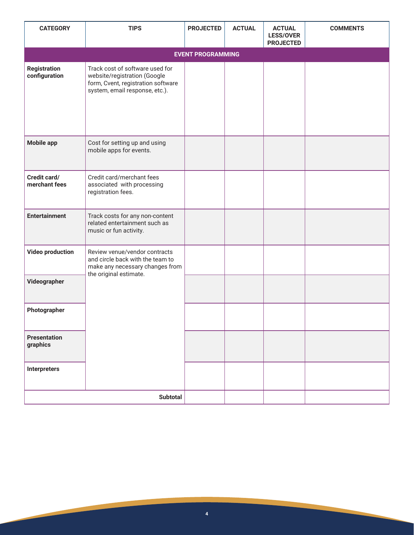| <b>CATEGORY</b>                      | <b>TIPS</b>                                                                                                                             | <b>PROJECTED</b> | <b>ACTUAL</b> | <b>ACTUAL</b><br><b>LESS/OVER</b><br><b>PROJECTED</b> | <b>COMMENTS</b> |  |  |  |
|--------------------------------------|-----------------------------------------------------------------------------------------------------------------------------------------|------------------|---------------|-------------------------------------------------------|-----------------|--|--|--|
|                                      | <b>EVENT PROGRAMMING</b>                                                                                                                |                  |               |                                                       |                 |  |  |  |
| <b>Registration</b><br>configuration | Track cost of software used for<br>website/registration (Google<br>form, Cvent, registration software<br>system, email response, etc.). |                  |               |                                                       |                 |  |  |  |
| <b>Mobile app</b>                    | Cost for setting up and using<br>mobile apps for events.                                                                                |                  |               |                                                       |                 |  |  |  |
| Credit card/<br>merchant fees        | Credit card/merchant fees<br>associated with processing<br>registration fees.                                                           |                  |               |                                                       |                 |  |  |  |
| <b>Entertainment</b>                 | Track costs for any non-content<br>related entertainment such as<br>music or fun activity.                                              |                  |               |                                                       |                 |  |  |  |
| <b>Video production</b>              | Review venue/vendor contracts<br>and circle back with the team to<br>make any necessary changes from<br>the original estimate.          |                  |               |                                                       |                 |  |  |  |
| Videographer                         |                                                                                                                                         |                  |               |                                                       |                 |  |  |  |
| Photographer                         |                                                                                                                                         |                  |               |                                                       |                 |  |  |  |
| <b>Presentation</b><br>graphics      |                                                                                                                                         |                  |               |                                                       |                 |  |  |  |
| Interpreters                         |                                                                                                                                         |                  |               |                                                       |                 |  |  |  |
|                                      | <b>Subtotal</b>                                                                                                                         |                  |               |                                                       |                 |  |  |  |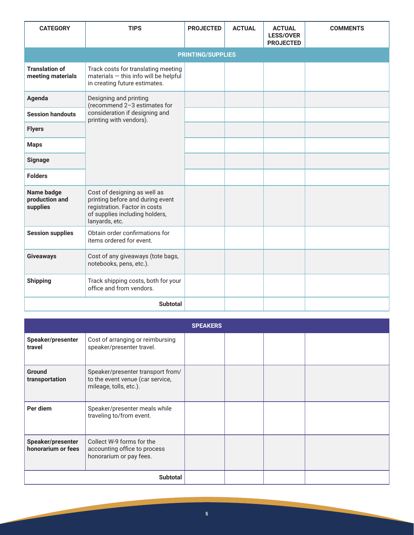| <b>CATEGORY</b>                            | <b>TIPS</b>                                                                                                                                           | <b>PROJECTED</b>         | <b>ACTUAL</b> | <b>ACTUAL</b><br><b>LESS/OVER</b><br><b>PROJECTED</b> | <b>COMMENTS</b> |
|--------------------------------------------|-------------------------------------------------------------------------------------------------------------------------------------------------------|--------------------------|---------------|-------------------------------------------------------|-----------------|
|                                            |                                                                                                                                                       | <b>PRINTING/SUPPLIES</b> |               |                                                       |                 |
| <b>Translation of</b><br>meeting materials | Track costs for translating meeting<br>materials - this info will be helpful<br>in creating future estimates.                                         |                          |               |                                                       |                 |
| Agenda                                     | Designing and printing<br>(recommend 2-3 estimates for                                                                                                |                          |               |                                                       |                 |
| <b>Session handouts</b>                    | consideration if designing and<br>printing with vendors).                                                                                             |                          |               |                                                       |                 |
| <b>Flyers</b>                              |                                                                                                                                                       |                          |               |                                                       |                 |
| <b>Maps</b>                                |                                                                                                                                                       |                          |               |                                                       |                 |
| <b>Signage</b>                             |                                                                                                                                                       |                          |               |                                                       |                 |
| <b>Folders</b>                             |                                                                                                                                                       |                          |               |                                                       |                 |
| Name badge<br>production and<br>supplies   | Cost of designing as well as<br>printing before and during event<br>registration. Factor in costs<br>of supplies including holders,<br>lanyards, etc. |                          |               |                                                       |                 |
| <b>Session supplies</b>                    | Obtain order confirmations for<br>items ordered for event.                                                                                            |                          |               |                                                       |                 |
| <b>Giveaways</b>                           | Cost of any giveaways (tote bags,<br>notebooks, pens, etc.).                                                                                          |                          |               |                                                       |                 |
| <b>Shipping</b>                            | Track shipping costs, both for your<br>office and from vendors.                                                                                       |                          |               |                                                       |                 |
|                                            | <b>Subtotal</b>                                                                                                                                       |                          |               |                                                       |                 |

|                                         |                                                                                                 | <b>SPEAKERS</b> |  |  |
|-----------------------------------------|-------------------------------------------------------------------------------------------------|-----------------|--|--|
| Speaker/presenter<br>travel             | Cost of arranging or reimbursing<br>speaker/presenter travel.                                   |                 |  |  |
| <b>Ground</b><br>transportation         | Speaker/presenter transport from/<br>to the event venue (car service,<br>mileage, tolls, etc.). |                 |  |  |
| Per diem                                | Speaker/presenter meals while<br>traveling to/from event.                                       |                 |  |  |
| Speaker/presenter<br>honorarium or fees | Collect W-9 forms for the<br>accounting office to process<br>honorarium or pay fees.            |                 |  |  |
|                                         | <b>Subtotal</b>                                                                                 |                 |  |  |